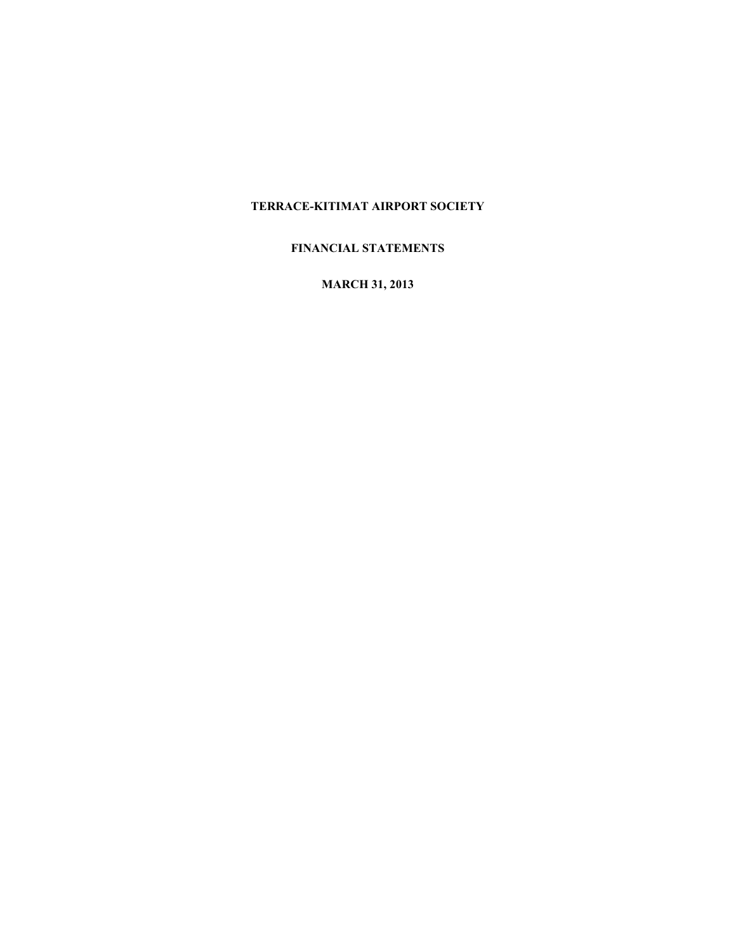# **FINANCIAL STATEMENTS**

**MARCH 31, 2013**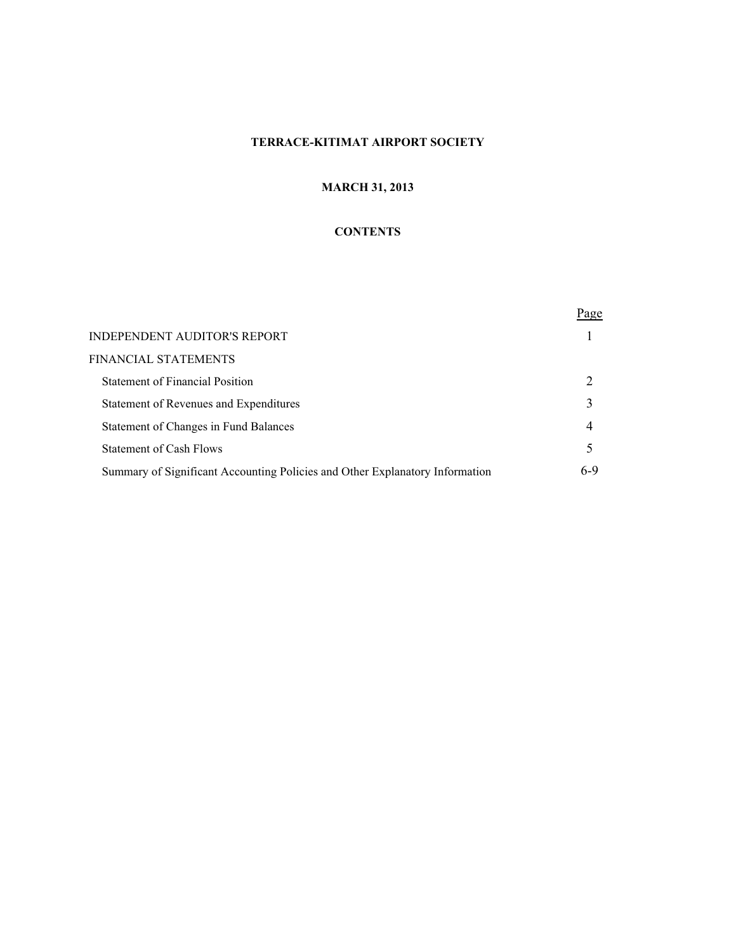# **MARCH 31, 2013**

# **CONTENTS**

|                                                                              | <u>Page</u> |
|------------------------------------------------------------------------------|-------------|
| INDEPENDENT AUDITOR'S REPORT                                                 |             |
| FINANCIAL STATEMENTS                                                         |             |
| <b>Statement of Financial Position</b>                                       |             |
| Statement of Revenues and Expenditures                                       | 3           |
| Statement of Changes in Fund Balances                                        | 4           |
| Statement of Cash Flows                                                      | 5           |
| Summary of Significant Accounting Policies and Other Explanatory Information | 6-9         |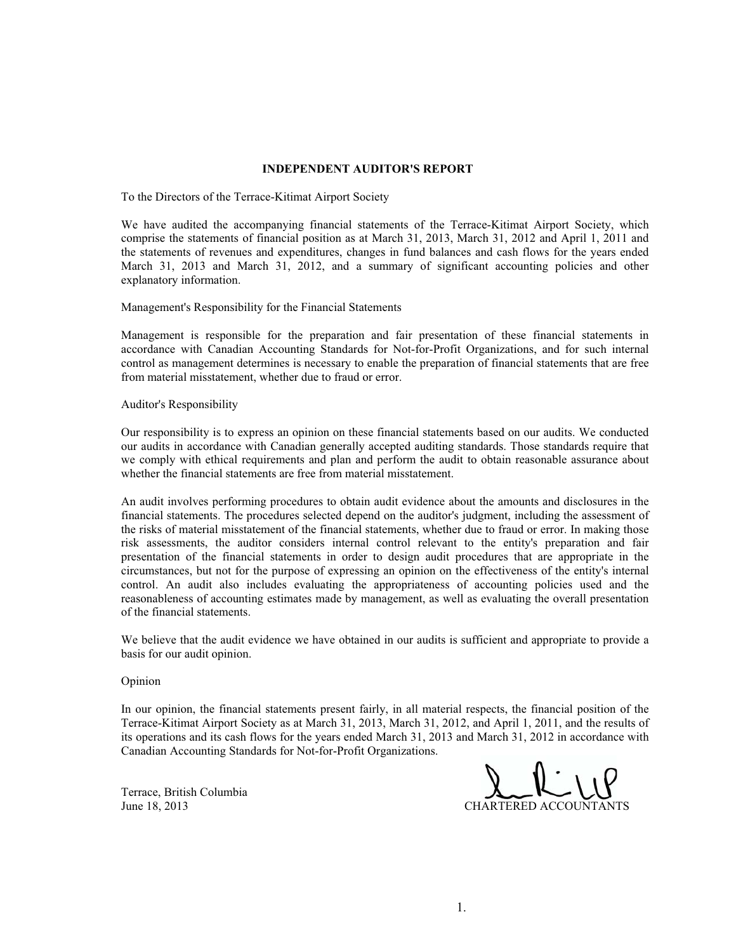#### **INDEPENDENT AUDITOR'S REPORT**

To the Directors of the Terrace-Kitimat Airport Society

We have audited the accompanying financial statements of the Terrace-Kitimat Airport Society, which comprise the statements of financial position as at March 31, 2013, March 31, 2012 and April 1, 2011 and the statements of revenues and expenditures, changes in fund balances and cash flows for the years ended March 31, 2013 and March 31, 2012, and a summary of significant accounting policies and other explanatory information.

Management's Responsibility for the Financial Statements

Management is responsible for the preparation and fair presentation of these financial statements in accordance with Canadian Accounting Standards for Not-for-Profit Organizations, and for such internal control as management determines is necessary to enable the preparation of financial statements that are free from material misstatement, whether due to fraud or error.

Auditor's Responsibility

Our responsibility is to express an opinion on these financial statements based on our audits. We conducted our audits in accordance with Canadian generally accepted auditing standards. Those standards require that we comply with ethical requirements and plan and perform the audit to obtain reasonable assurance about whether the financial statements are free from material misstatement.

An audit involves performing procedures to obtain audit evidence about the amounts and disclosures in the financial statements. The procedures selected depend on the auditor's judgment, including the assessment of the risks of material misstatement of the financial statements, whether due to fraud or error. In making those risk assessments, the auditor considers internal control relevant to the entity's preparation and fair presentation of the financial statements in order to design audit procedures that are appropriate in the circumstances, but not for the purpose of expressing an opinion on the effectiveness of the entity's internal control. An audit also includes evaluating the appropriateness of accounting policies used and the reasonableness of accounting estimates made by management, as well as evaluating the overall presentation of the financial statements.

We believe that the audit evidence we have obtained in our audits is sufficient and appropriate to provide a basis for our audit opinion.

Opinion

In our opinion, the financial statements present fairly, in all material respects, the financial position of the Terrace-Kitimat Airport Society as at March 31, 2013, March 31, 2012, and April 1, 2011, and the results of its operations and its cash flows for the years ended March 31, 2013 and March 31, 2012 in accordance with Canadian Accounting Standards for Not-for-Profit Organizations.

Terrace, British Columbia June 18, 2013

CHARTERED ACCOUNTANTS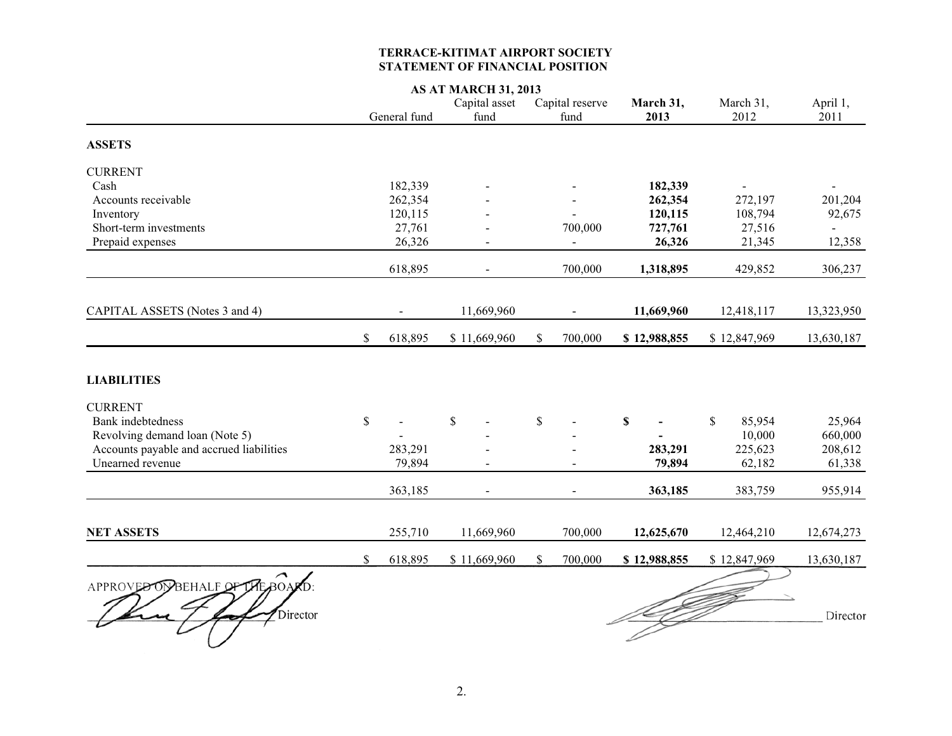#### **TERRACE-KITIMAT AIRPORT SOCIETY STATEMENT OF FINANCIAL POSITION**

|                                             |              |              | <b>AS AT MARCH 31, 2013</b> |                         |                           |                        |                  |
|---------------------------------------------|--------------|--------------|-----------------------------|-------------------------|---------------------------|------------------------|------------------|
|                                             |              | General fund | Capital asset<br>fund       | Capital reserve<br>fund | March 31,<br>2013         | March 31,<br>2012      | April 1,<br>2011 |
| <b>ASSETS</b>                               |              |              |                             |                         |                           |                        |                  |
| <b>CURRENT</b>                              |              |              |                             |                         |                           |                        |                  |
| Cash                                        |              | 182,339      |                             |                         | 182,339                   |                        |                  |
| Accounts receivable                         |              | 262,354      |                             |                         | 262,354                   | 272,197                | 201,204          |
| Inventory                                   |              | 120,115      |                             |                         | 120,115                   | 108,794                | 92,675           |
| Short-term investments                      |              | 27,761       |                             | 700,000                 | 727,761                   | 27,516                 |                  |
| Prepaid expenses                            |              | 26,326       |                             | $\overline{a}$          | 26,326                    | 21,345                 | 12,358           |
|                                             |              | 618,895      |                             | 700,000                 | 1,318,895                 | 429,852                | 306,237          |
| CAPITAL ASSETS (Notes 3 and 4)              |              |              | 11,669,960                  |                         | 11,669,960                | 12,418,117             | 13,323,950       |
|                                             | \$           | 618,895      | \$11,669,960                | 700,000<br>\$           | \$12,988,855              | \$12,847,969           | 13,630,187       |
| <b>LIABILITIES</b>                          |              |              |                             |                         |                           |                        |                  |
| <b>CURRENT</b>                              |              |              |                             |                         |                           |                        |                  |
| <b>Bank</b> indebtedness                    | $\mathbb{S}$ |              | $\mathbb{S}$                | \$                      | $\boldsymbol{\mathsf{S}}$ | $\mathbb{S}$<br>85,954 | 25,964           |
| Revolving demand loan (Note 5)              |              |              |                             |                         |                           | 10,000                 | 660,000          |
| Accounts payable and accrued liabilities    |              | 283,291      |                             |                         | 283,291                   | 225,623                | 208,612          |
| Unearned revenue                            |              | 79,894       |                             |                         | 79,894                    | 62,182                 | 61,338           |
|                                             |              | 363,185      | $\overline{a}$              |                         | 363,185                   | 383,759                | 955,914          |
| <b>NET ASSETS</b>                           |              | 255,710      | 11,669,960                  | 700,000                 | 12,625,670                | 12,464,210             | 12,674,273       |
|                                             | \$           | 618,895      | \$11,669,960                | \$<br>700,000           | \$12,988,855              | \$12,847,969           | 13,630,187       |
| APPROVED OVBEHALF OF THE BOARD:<br>Director |              |              |                             |                         |                           |                        | Director         |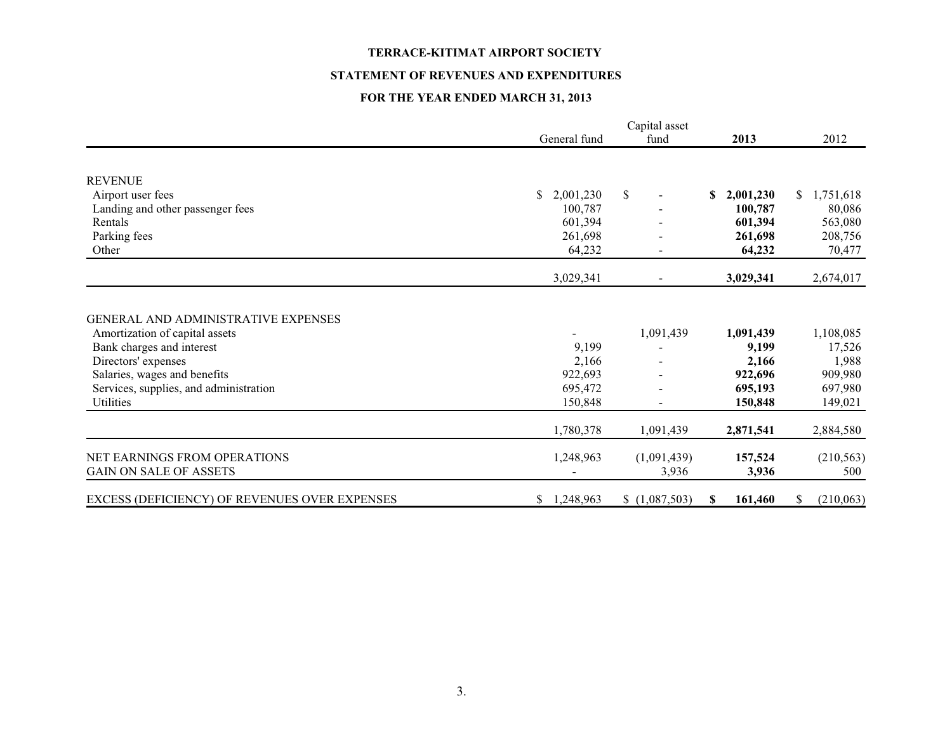#### **STATEMENT OF REVENUES AND EXPENDITURES**

# **FOR THE YEAR ENDED MARCH 31, 2013**

|                                                                                                                                                                                                                  | General fund                                    | fund                                  | 2013                                                         | 2012                                                          |
|------------------------------------------------------------------------------------------------------------------------------------------------------------------------------------------------------------------|-------------------------------------------------|---------------------------------------|--------------------------------------------------------------|---------------------------------------------------------------|
|                                                                                                                                                                                                                  |                                                 |                                       |                                                              |                                                               |
| <b>REVENUE</b>                                                                                                                                                                                                   |                                                 |                                       |                                                              |                                                               |
| Airport user fees                                                                                                                                                                                                | \$<br>2,001,230                                 | \$                                    | 2,001,230<br>\$                                              | 1,751,618<br>S.                                               |
| Landing and other passenger fees                                                                                                                                                                                 | 100.787                                         |                                       | 100,787                                                      | 80,086                                                        |
| Rentals                                                                                                                                                                                                          | 601,394                                         |                                       | 601,394                                                      | 563,080                                                       |
| Parking fees                                                                                                                                                                                                     | 261,698                                         |                                       | 261,698                                                      | 208,756                                                       |
| Other                                                                                                                                                                                                            | 64,232                                          |                                       | 64,232                                                       | 70,477                                                        |
|                                                                                                                                                                                                                  | 3,029,341                                       | $\blacksquare$                        | 3,029,341                                                    | 2,674,017                                                     |
| GENERAL AND ADMINISTRATIVE EXPENSES<br>Amortization of capital assets<br>Bank charges and interest<br>Directors' expenses<br>Salaries, wages and benefits<br>Services, supplies, and administration<br>Utilities | 9,199<br>2,166<br>922,693<br>695,472<br>150,848 | 1,091,439<br>$\overline{\phantom{a}}$ | 1,091,439<br>9,199<br>2,166<br>922,696<br>695,193<br>150,848 | 1,108,085<br>17,526<br>1,988<br>909,980<br>697,980<br>149,021 |
|                                                                                                                                                                                                                  | 1,780,378                                       | 1,091,439                             | 2,871,541                                                    | 2,884,580                                                     |
| NET EARNINGS FROM OPERATIONS<br><b>GAIN ON SALE OF ASSETS</b>                                                                                                                                                    | 1,248,963                                       | (1,091,439)<br>3,936                  | 157,524<br>3,936                                             | (210, 563)<br>500                                             |
| EXCESS (DEFICIENCY) OF REVENUES OVER EXPENSES                                                                                                                                                                    | 1,248,963<br>\$                                 | \$(1,087,503)                         | 161,460<br>S.                                                | (210,063)<br>\$                                               |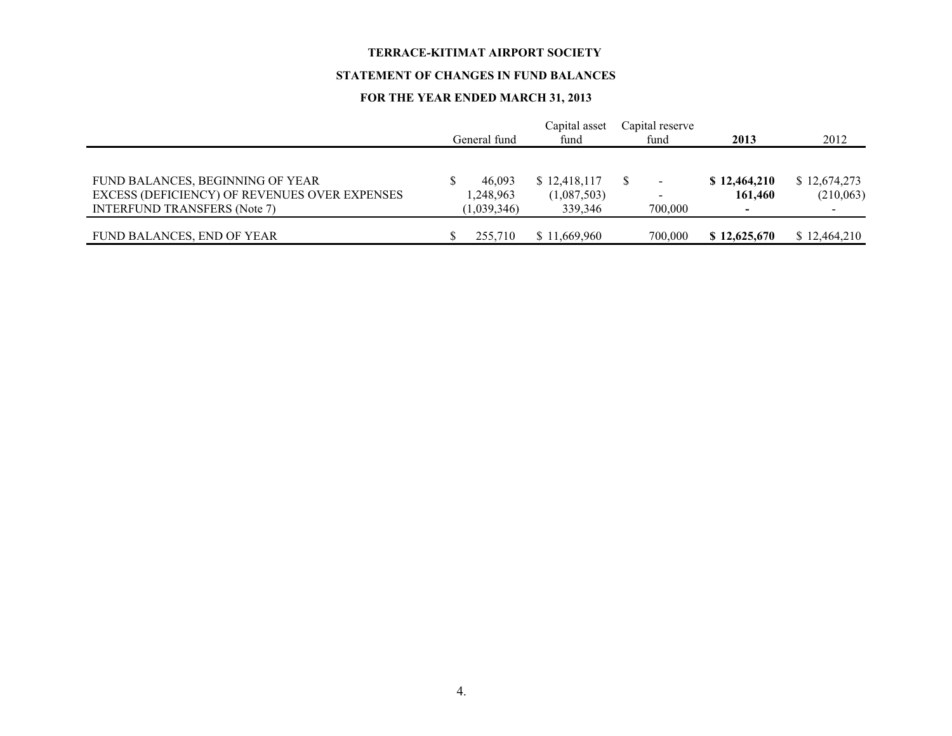#### **STATEMENT OF CHANGES IN FUND BALANCES**

# **FOR THE YEAR ENDED MARCH 31, 2013**

|                                                                                      | General fund             | Capital asset<br>fund  | Capital reserve<br>fund             | 2013         | 2012         |
|--------------------------------------------------------------------------------------|--------------------------|------------------------|-------------------------------------|--------------|--------------|
| FUND BALANCES, BEGINNING OF YEAR                                                     | 46.093                   | \$12,418,117           |                                     | \$12,464,210 | \$12,674,273 |
| EXCESS (DEFICIENCY) OF REVENUES OVER EXPENSES<br><b>INTERFUND TRANSFERS (Note 7)</b> | 1,248,963<br>(1,039,346) | (1,087,503)<br>339.346 | $\overline{\phantom{a}}$<br>700,000 | 161,460<br>- | (210,063)    |
| FUND BALANCES, END OF YEAR                                                           | 255,710                  | \$11,669,960           | 700,000                             | \$12,625,670 | \$12,464,210 |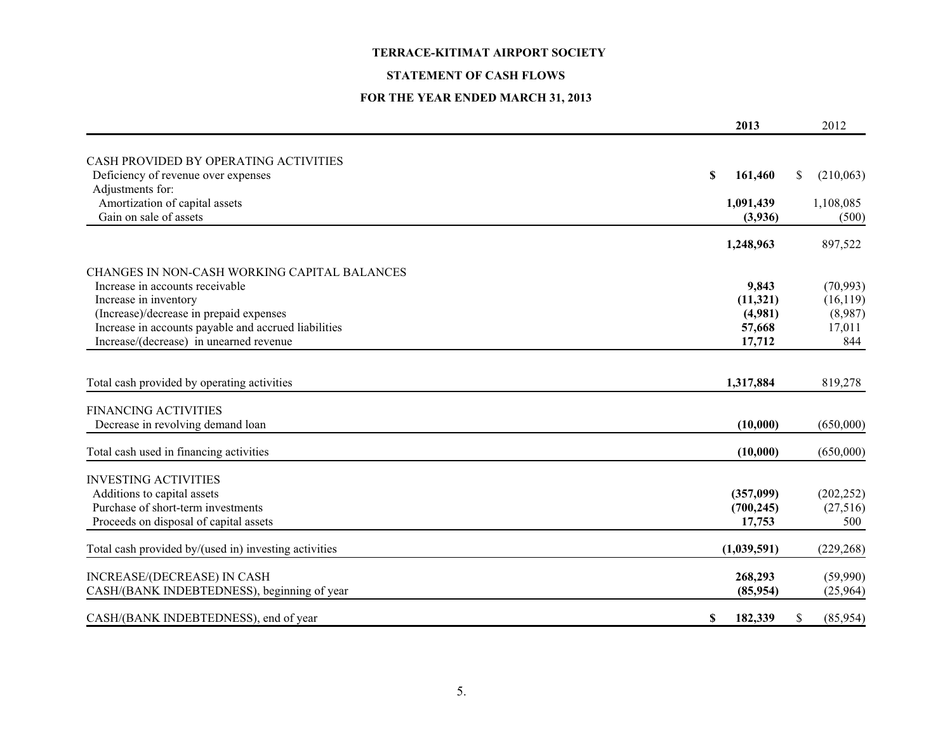#### **STATEMENT OF CASH FLOWS**

# **FOR THE YEAR ENDED MARCH 31, 2013**

|                                                       | 2013          | 2012            |
|-------------------------------------------------------|---------------|-----------------|
| CASH PROVIDED BY OPERATING ACTIVITIES                 |               |                 |
| Deficiency of revenue over expenses                   | \$<br>161,460 | \$<br>(210,063) |
| Adjustments for:                                      |               |                 |
| Amortization of capital assets                        | 1,091,439     | 1,108,085       |
| Gain on sale of assets                                | (3,936)       | (500)           |
|                                                       | 1,248,963     | 897,522         |
| CHANGES IN NON-CASH WORKING CAPITAL BALANCES          |               |                 |
| Increase in accounts receivable                       | 9,843         | (70, 993)       |
| Increase in inventory                                 | (11, 321)     | (16, 119)       |
| (Increase)/decrease in prepaid expenses               | (4,981)       | (8,987)         |
| Increase in accounts payable and accrued liabilities  | 57,668        | 17,011          |
| Increase/(decrease) in unearned revenue               | 17,712        | 844             |
| Total cash provided by operating activities           | 1,317,884     | 819,278         |
| <b>FINANCING ACTIVITIES</b>                           |               |                 |
| Decrease in revolving demand loan                     | (10,000)      | (650,000)       |
| Total cash used in financing activities               | (10,000)      | (650,000)       |
| <b>INVESTING ACTIVITIES</b>                           |               |                 |
| Additions to capital assets                           | (357,099)     | (202, 252)      |
| Purchase of short-term investments                    | (700, 245)    | (27,516)        |
| Proceeds on disposal of capital assets                | 17,753        | 500             |
| Total cash provided by/(used in) investing activities | (1,039,591)   | (229, 268)      |
| INCREASE/(DECREASE) IN CASH                           | 268,293       | (59,990)        |
| CASH/(BANK INDEBTEDNESS), beginning of year           | (85,954)      | (25,964)        |
| CASH/(BANK INDEBTEDNESS), end of year                 | \$<br>182,339 | \$<br>(85,954)  |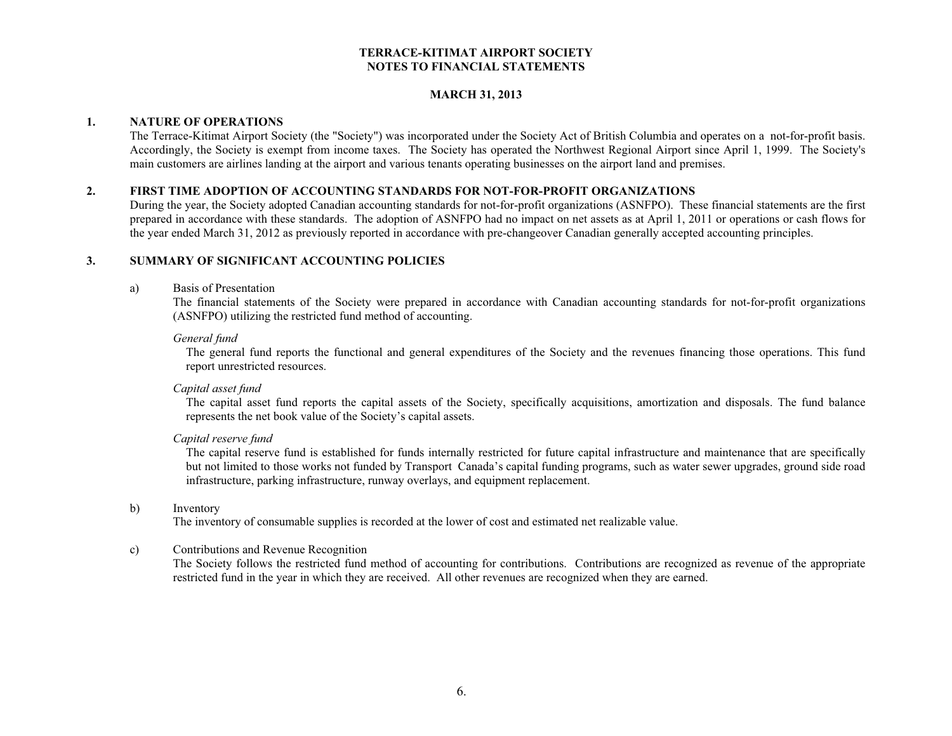#### **MARCH 31, 2013**

### **1. NATURE OF OPERATIONS**

The Terrace-Kitimat Airport Society (the "Society") was incorporated under the Society Act of British Columbia and operates on a not-for-profit basis. Accordingly, the Society is exempt from income taxes. The Society has operated the Northwest Regional Airport since April 1, 1999. The Society's main customers are airlines landing at the airport and various tenants operating businesses on the airport land and premises.

### **2. FIRST TIME ADOPTION OF ACCOUNTING STANDARDS FOR NOT-FOR-PROFIT ORGANIZATIONS**

During the year, the Society adopted Canadian accounting standards for not-for-profit organizations (ASNFPO). These financial statements are the first prepared in accordance with these standards. The adoption of ASNFPO had no impact on net assets as at April 1, 2011 or operations or cash flows for the year ended March 31, 2012 as previously reported in accordance with pre-changeover Canadian generally accepted accounting principles.

### **3. SUMMARY OF SIGNIFICANT ACCOUNTING POLICIES**

#### a) Basis of Presentation

The financial statements of the Society were prepared in accordance with Canadian accounting standards for not-for-profit organizations (ASNFPO) utilizing the restricted fund method of accounting.

#### *General fund*

The general fund reports the functional and general expenditures of the Society and the revenues financing those operations. This fund report unrestricted resources.

#### *Capital asset fund*

The capital asset fund reports the capital assets of the Society, specifically acquisitions, amortization and disposals. The fund balance represents the net book value of the Society's capital assets.

#### *Capital reserve fund*

The capital reserve fund is established for funds internally restricted for future capital infrastructure and maintenance that are specifically but not limited to those works not funded by Transport Canada's capital funding programs, such as water sewer upgrades, ground side road infrastructure, parking infrastructure, runway overlays, and equipment replacement.

#### b) Inventory

The inventory of consumable supplies is recorded at the lower of cost and estimated net realizable value.

#### c) Contributions and Revenue Recognition

The Society follows the restricted fund method of accounting for contributions. Contributions are recognized as revenue of the appropriate restricted fund in the year in which they are received. All other revenues are recognized when they are earned.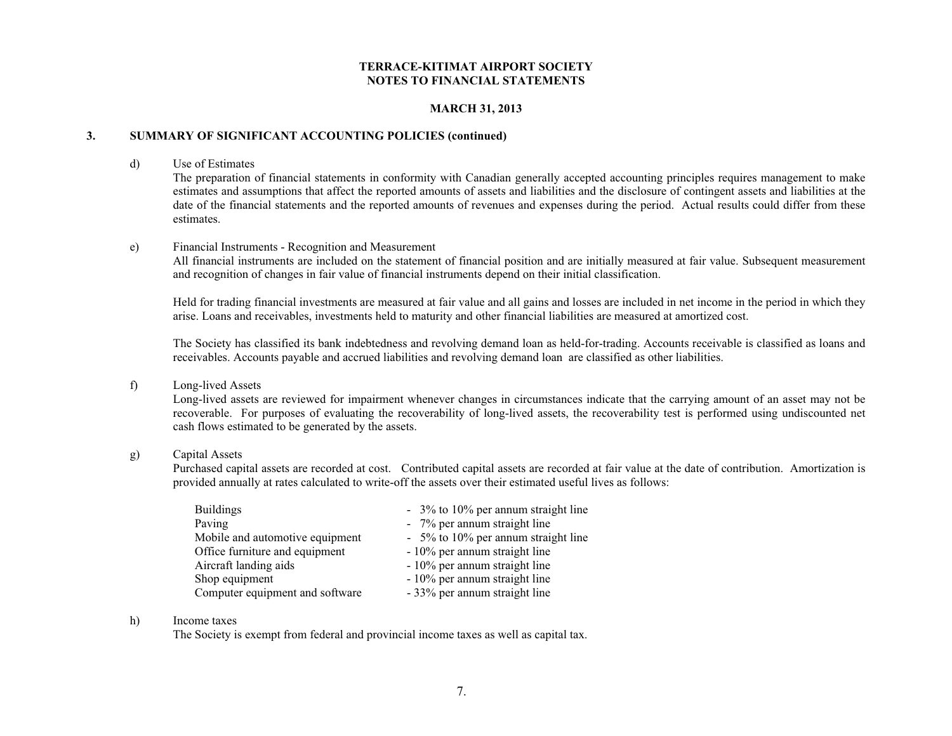## **MARCH 31, 2013**

### **3. SUMMARY OF SIGNIFICANT ACCOUNTING POLICIES (continued)**

#### d) Use of Estimates

The preparation of financial statements in conformity with Canadian generally accepted accounting principles requires management to make estimates and assumptions that affect the reported amounts of assets and liabilities and the disclosure of contingent assets and liabilities at the date of the financial statements and the reported amounts of revenues and expenses during the period. Actual results could differ from these estimates.

#### e) Financial Instruments - Recognition and Measurement

All financial instruments are included on the statement of financial position and are initially measured at fair value. Subsequent measurement and recognition of changes in fair value of financial instruments depend on their initial classification.

Held for trading financial investments are measured at fair value and all gains and losses are included in net income in the period in which they arise. Loans and receivables, investments held to maturity and other financial liabilities are measured at amortized cost.

The Society has classified its bank indebtedness and revolving demand loan as held-for-trading. Accounts receivable is classified as loans and receivables. Accounts payable and accrued liabilities and revolving demand loan are classified as other liabilities.

#### f) Long-lived Assets

Long-lived assets are reviewed for impairment whenever changes in circumstances indicate that the carrying amount of an asset may not be recoverable. For purposes of evaluating the recoverability of long-lived assets, the recoverability test is performed using undiscounted net cash flows estimated to be generated by the assets.

#### g) Capital Assets

Purchased capital assets are recorded at cost. Contributed capital assets are recorded at fair value at the date of contribution. Amortization is provided annually at rates calculated to write-off the assets over their estimated useful lives as follows:

| <b>Buildings</b>                | - 3% to 10% per annum straight line |
|---------------------------------|-------------------------------------|
| Paving                          | - 7% per annum straight line        |
| Mobile and automotive equipment | - 5% to 10% per annum straight line |
| Office furniture and equipment  | - 10% per annum straight line       |
| Aircraft landing aids           | - 10% per annum straight line       |
| Shop equipment                  | - 10% per annum straight line       |
| Computer equipment and software | - 33% per annum straight line       |

#### h) Income taxes

The Society is exempt from federal and provincial income taxes as well as capital tax.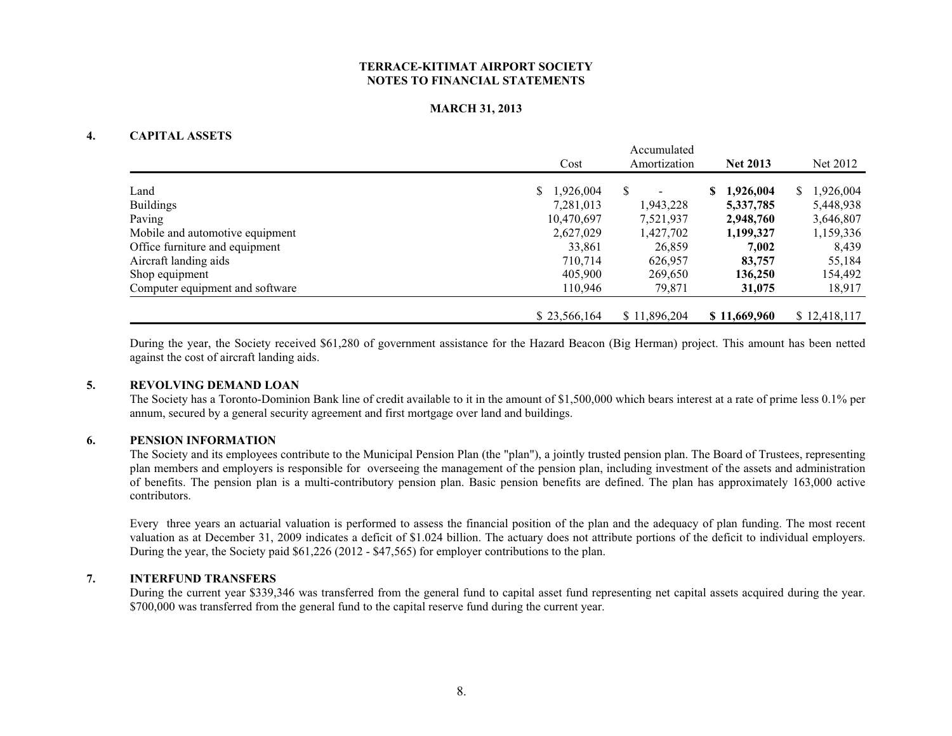### **MARCH 31, 2013**

### **4. CAPITAL ASSETS**

|                                 | Accumulated          |              |                 |                 |  |  |
|---------------------------------|----------------------|--------------|-----------------|-----------------|--|--|
|                                 | Cost<br>Amortization |              | <b>Net 2013</b> | Net 2012        |  |  |
|                                 |                      |              |                 |                 |  |  |
| Land                            | \$1,926,004          | S            | 1,926,004<br>S. | 1,926,004<br>S. |  |  |
| <b>Buildings</b>                | 7,281,013            | 1,943,228    | 5,337,785       | 5,448,938       |  |  |
| Paving                          | 10,470,697           | 7,521,937    | 2,948,760       | 3,646,807       |  |  |
| Mobile and automotive equipment | 2,627,029            | 1,427,702    | 1,199,327       | 1,159,336       |  |  |
| Office furniture and equipment  | 33,861               | 26,859       | 7,002           | 8,439           |  |  |
| Aircraft landing aids           | 710.714              | 626,957      | 83,757          | 55,184          |  |  |
| Shop equipment                  | 405,900              | 269,650      | 136,250         | 154,492         |  |  |
| Computer equipment and software | 110,946              | 79,871       | 31,075          | 18,917          |  |  |
|                                 | \$23,566,164         | \$11,896,204 | \$11,669,960    | \$12,418,117    |  |  |

During the year, the Society received \$61,280 of government assistance for the Hazard Beacon (Big Herman) project. This amount has been netted against the cost of aircraft landing aids.

#### **5. REVOLVING DEMAND LOAN**

The Society has a Toronto-Dominion Bank line of credit available to it in the amount of \$1,500,000 which bears interest at a rate of prime less 0.1% per annum, secured by a general security agreement and first mortgage over land and buildings.

### **6. PENSION INFORMATION**

The Society and its employees contribute to the Municipal Pension Plan (the "plan"), a jointly trusted pension plan. The Board of Trustees, representing plan members and employers is responsible for overseeing the management of the pension plan, including investment of the assets and administration of benefits. The pension plan is a multi-contributory pension plan. Basic pension benefits are defined. The plan has approximately 163,000 active contributors.

Every three years an actuarial valuation is performed to assess the financial position of the plan and the adequacy of plan funding. The most recent valuation as at December 31, 2009 indicates a deficit of \$1.024 billion. The actuary does not attribute portions of the deficit to individual employers. During the year, the Society paid \$61,226 (2012 - \$47,565) for employer contributions to the plan.

#### **7. INTERFUND TRANSFERS**

During the current year \$339,346 was transferred from the general fund to capital asset fund representing net capital assets acquired during the year. \$700,000 was transferred from the general fund the capital reserve fund during the current year.